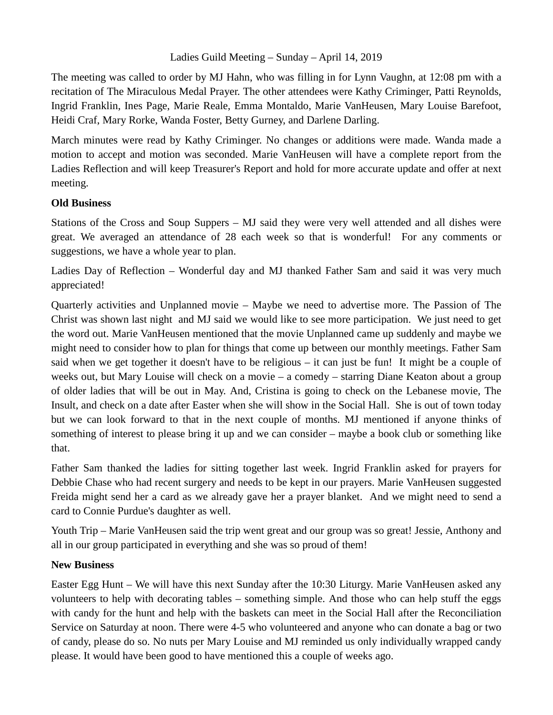## Ladies Guild Meeting – Sunday – April 14, 2019

The meeting was called to order by MJ Hahn, who was filling in for Lynn Vaughn, at 12:08 pm with a recitation of The Miraculous Medal Prayer. The other attendees were Kathy Criminger, Patti Reynolds, Ingrid Franklin, Ines Page, Marie Reale, Emma Montaldo, Marie VanHeusen, Mary Louise Barefoot, Heidi Craf, Mary Rorke, Wanda Foster, Betty Gurney, and Darlene Darling.

March minutes were read by Kathy Criminger. No changes or additions were made. Wanda made a motion to accept and motion was seconded. Marie VanHeusen will have a complete report from the Ladies Reflection and will keep Treasurer's Report and hold for more accurate update and offer at next meeting.

## **Old Business**

Stations of the Cross and Soup Suppers – MJ said they were very well attended and all dishes were great. We averaged an attendance of 28 each week so that is wonderful! For any comments or suggestions, we have a whole year to plan.

Ladies Day of Reflection – Wonderful day and MJ thanked Father Sam and said it was very much appreciated!

Quarterly activities and Unplanned movie – Maybe we need to advertise more. The Passion of The Christ was shown last night and MJ said we would like to see more participation. We just need to get the word out. Marie VanHeusen mentioned that the movie Unplanned came up suddenly and maybe we might need to consider how to plan for things that come up between our monthly meetings. Father Sam said when we get together it doesn't have to be religious – it can just be fun! It might be a couple of weeks out, but Mary Louise will check on a movie – a comedy – starring Diane Keaton about a group of older ladies that will be out in May. And, Cristina is going to check on the Lebanese movie, The Insult, and check on a date after Easter when she will show in the Social Hall. She is out of town today but we can look forward to that in the next couple of months. MJ mentioned if anyone thinks of something of interest to please bring it up and we can consider – maybe a book club or something like that.

Father Sam thanked the ladies for sitting together last week. Ingrid Franklin asked for prayers for Debbie Chase who had recent surgery and needs to be kept in our prayers. Marie VanHeusen suggested Freida might send her a card as we already gave her a prayer blanket. And we might need to send a card to Connie Purdue's daughter as well.

Youth Trip – Marie VanHeusen said the trip went great and our group was so great! Jessie, Anthony and all in our group participated in everything and she was so proud of them!

## **New Business**

Easter Egg Hunt – We will have this next Sunday after the 10:30 Liturgy. Marie VanHeusen asked any volunteers to help with decorating tables – something simple. And those who can help stuff the eggs with candy for the hunt and help with the baskets can meet in the Social Hall after the Reconciliation Service on Saturday at noon. There were 4-5 who volunteered and anyone who can donate a bag or two of candy, please do so. No nuts per Mary Louise and MJ reminded us only individually wrapped candy please. It would have been good to have mentioned this a couple of weeks ago.